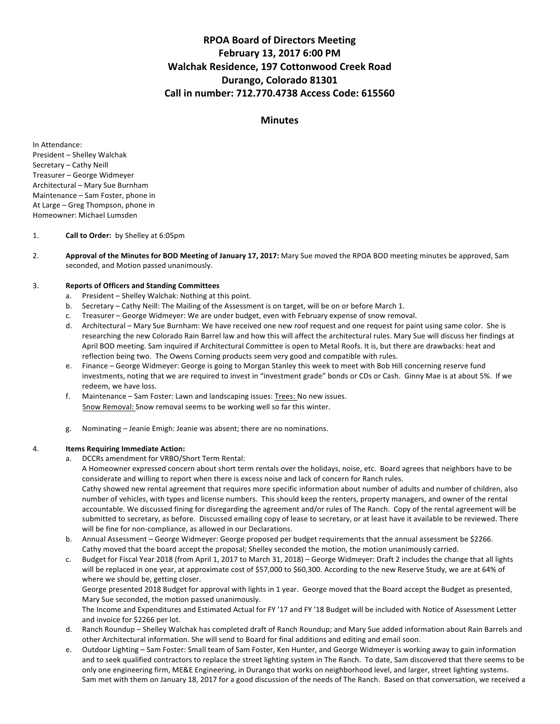# **RPOA Board of Directors Meeting February 13, 2017 6:00 PM Walchak Residence, 197 Cottonwood Creek Road Durango, Colorado 81301 Call in number: 712.770.4738 Access Code: 615560**

## **Minutes**

In Attendance: President - Shelley Walchak Secretary - Cathy Neill Treasurer - George Widmeyer Architectural - Mary Sue Burnham Maintenance - Sam Foster, phone in At Large – Greg Thompson, phone in Homeowner: Michael Lumsden

## 1. **Call to Order:** by Shelley at 6:05pm

2. **Approval of the Minutes for BOD Meeting of January 17, 2017:** Mary Sue moved the RPOA BOD meeting minutes be approved, Sam seconded, and Motion passed unanimously.

## 3. **Reports of Officers and Standing Committees**

- a. President Shelley Walchak: Nothing at this point.
- b. Secretary Cathy Neill: The Mailing of the Assessment is on target, will be on or before March 1.
- c. Treasurer George Widmeyer: We are under budget, even with February expense of snow removal.
- d. Architectural Mary Sue Burnham: We have received one new roof request and one request for paint using same color. She is researching the new Colorado Rain Barrel law and how this will affect the architectural rules. Mary Sue will discuss her findings at April BOD meeting. Sam inquired if Architectural Committee is open to Metal Roofs. It is, but there are drawbacks: heat and reflection being two. The Owens Corning products seem very good and compatible with rules.
- e. Finance George Widmeyer: George is going to Morgan Stanley this week to meet with Bob Hill concerning reserve fund investments, noting that we are required to invest in "investment grade" bonds or CDs or Cash. Ginny Mae is at about 5%. If we redeem, we have loss.
- f. Maintenance Sam Foster: Lawn and landscaping issues: Trees: No new issues. Snow Removal: Snow removal seems to be working well so far this winter.
- g. Nominating Jeanie Emigh: Jeanie was absent; there are no nominations.

## 4. **Items Requiring Immediate Action:**

a. DCCRs amendment for VRBO/Short Term Rental:

A Homeowner expressed concern about short term rentals over the holidays, noise, etc. Board agrees that neighbors have to be considerate and willing to report when there is excess noise and lack of concern for Ranch rules. Cathy showed new rental agreement that requires more specific information about number of adults and number of children, also number of vehicles, with types and license numbers. This should keep the renters, property managers, and owner of the rental accountable. We discussed fining for disregarding the agreement and/or rules of The Ranch. Copy of the rental agreement will be

submitted to secretary, as before. Discussed emailing copy of lease to secretary, or at least have it available to be reviewed. There will be fine for non-compliance, as allowed in our Declarations.

- b. Annual Assessment George Widmeyer: George proposed per budget requirements that the annual assessment be \$2266. Cathy moved that the board accept the proposal; Shelley seconded the motion, the motion unanimously carried.
- c. Budget for Fiscal Year 2018 (from April 1, 2017 to March 31, 2018) George Widmeyer: Draft 2 includes the change that all lights will be replaced in one year, at approximate cost of \$57,000 to \$60,300. According to the new Reserve Study, we are at 64% of where we should be, getting closer.

George presented 2018 Budget for approval with lights in 1 year. George moved that the Board accept the Budget as presented, Mary Sue seconded, the motion passed unanimously.

The Income and Expenditures and Estimated Actual for FY '17 and FY '18 Budget will be included with Notice of Assessment Letter and invoice for \$2266 per lot.

- d. Ranch Roundup Shelley Walchak has completed draft of Ranch Roundup; and Mary Sue added information about Rain Barrels and other Architectural information. She will send to Board for final additions and editing and email soon.
- e. Outdoor Lighting Sam Foster: Small team of Sam Foster, Ken Hunter, and George Widmeyer is working away to gain information and to seek qualified contractors to replace the street lighting system in The Ranch. To date, Sam discovered that there seems to be only one engineering firm, ME&E Engineering, in Durango that works on neighborhood level, and larger, street lighting systems. Sam met with them on January 18, 2017 for a good discussion of the needs of The Ranch. Based on that conversation, we received a